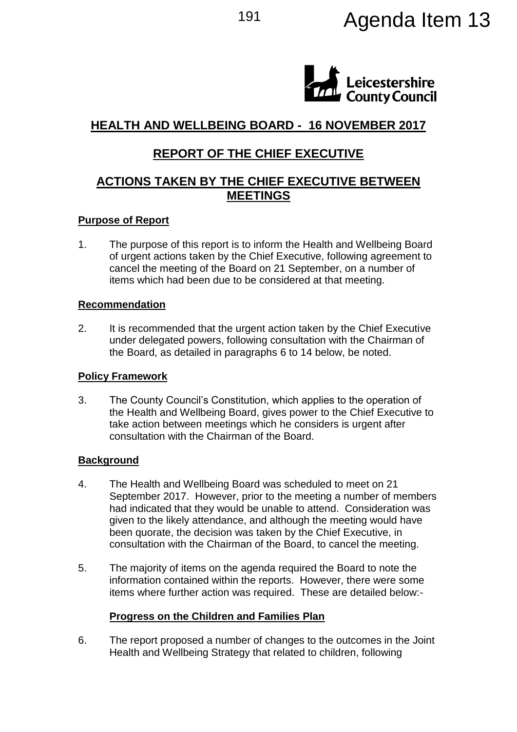# 191 **Agenda Item 13**



# **HEALTH AND WELLBEING BOARD - 16 NOVEMBER 2017**

# **REPORT OF THE CHIEF EXECUTIVE**

## **ACTIONS TAKEN BY THE CHIEF EXECUTIVE BETWEEN MEETINGS**

### **Purpose of Report**

1. The purpose of this report is to inform the Health and Wellbeing Board of urgent actions taken by the Chief Executive, following agreement to cancel the meeting of the Board on 21 September, on a number of items which had been due to be considered at that meeting.

#### **Recommendation**

2. It is recommended that the urgent action taken by the Chief Executive under delegated powers, following consultation with the Chairman of the Board, as detailed in paragraphs 6 to 14 below, be noted.

### **Policy Framework**

3. The County Council's Constitution, which applies to the operation of the Health and Wellbeing Board, gives power to the Chief Executive to take action between meetings which he considers is urgent after consultation with the Chairman of the Board.

### **Background**

- 4. The Health and Wellbeing Board was scheduled to meet on 21 September 2017. However, prior to the meeting a number of members had indicated that they would be unable to attend. Consideration was given to the likely attendance, and although the meeting would have been quorate, the decision was taken by the Chief Executive, in consultation with the Chairman of the Board, to cancel the meeting.
- 5. The majority of items on the agenda required the Board to note the information contained within the reports. However, there were some items where further action was required. These are detailed below:-

### **Progress on the Children and Families Plan**

6. The report proposed a number of changes to the outcomes in the Joint Health and Wellbeing Strategy that related to children, following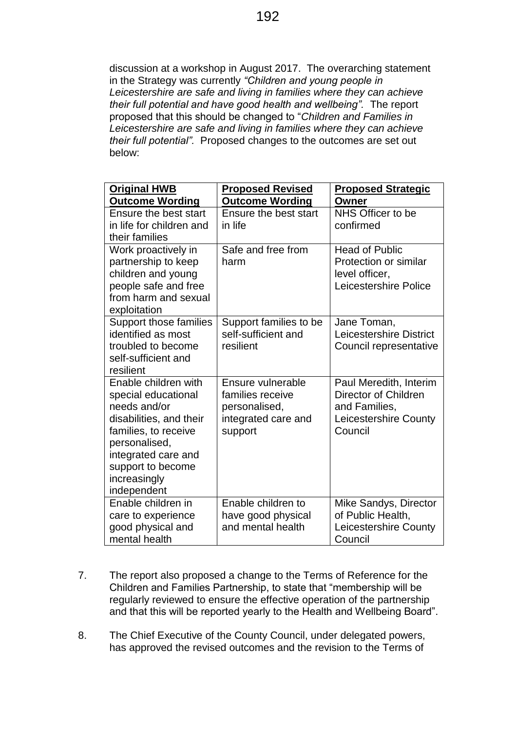discussion at a workshop in August 2017. The overarching statement in the Strategy was currently *"Children and young people in Leicestershire are safe and living in families where they can achieve their full potential and have good health and wellbeing".* The report proposed that this should be changed to "*Children and Families in Leicestershire are safe and living in families where they can achieve their full potential".* Proposed changes to the outcomes are set out below:

- 7. The report also proposed a change to the Terms of Reference for the Children and Families Partnership, to state that "membership will be regularly reviewed to ensure the effective operation of the partnership and that this will be reported yearly to the Health and Wellbeing Board".
- 8. The Chief Executive of the County Council, under delegated powers, has approved the revised outcomes and the revision to the Terms of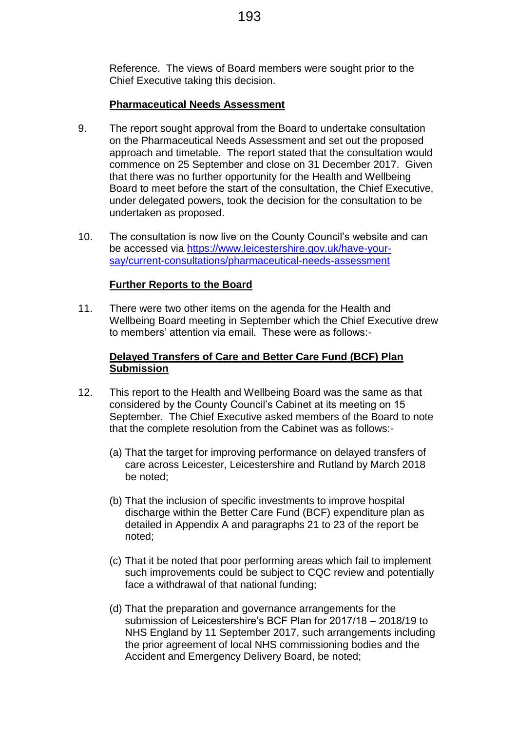Reference. The views of Board members were sought prior to the Chief Executive taking this decision.

## **Pharmaceutical Needs Assessment**

- 9. The report sought approval from the Board to undertake consultation on the Pharmaceutical Needs Assessment and set out the proposed approach and timetable. The report stated that the consultation would commence on 25 September and close on 31 December 2017. Given that there was no further opportunity for the Health and Wellbeing Board to meet before the start of the consultation, the Chief Executive, under delegated powers, took the decision for the consultation to be undertaken as proposed.
- 10. The consultation is now live on the County Council's website and can be accessed via [https://www.leicestershire.gov.uk/have-your](https://www.leicestershire.gov.uk/have-your-say/current-consultations/pharmaceutical-needs-assessment)[say/current-consultations/pharmaceutical-needs-assessment](https://www.leicestershire.gov.uk/have-your-say/current-consultations/pharmaceutical-needs-assessment)

## **Further Reports to the Board**

11. There were two other items on the agenda for the Health and Wellbeing Board meeting in September which the Chief Executive drew to members' attention via email. These were as follows:-

## **Delayed Transfers of Care and Better Care Fund (BCF) Plan Submission**

- 12. This report to the Health and Wellbeing Board was the same as that considered by the County Council's Cabinet at its meeting on 15 September. The Chief Executive asked members of the Board to note that the complete resolution from the Cabinet was as follows:-
	- (a) That the target for improving performance on delayed transfers of care across Leicester, Leicestershire and Rutland by March 2018 be noted;
	- (b) That the inclusion of specific investments to improve hospital discharge within the Better Care Fund (BCF) expenditure plan as detailed in Appendix A and paragraphs 21 to 23 of the report be noted;
	- (c) That it be noted that poor performing areas which fail to implement such improvements could be subject to CQC review and potentially face a withdrawal of that national funding;
	- (d) That the preparation and governance arrangements for the submission of Leicestershire's BCF Plan for 2017/18 – 2018/19 to NHS England by 11 September 2017, such arrangements including the prior agreement of local NHS commissioning bodies and the Accident and Emergency Delivery Board, be noted;